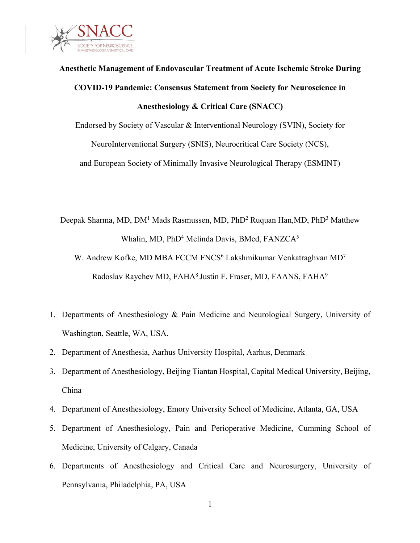

# **Anesthetic Management of Endovascular Treatment of Acute Ischemic Stroke During COVID-19 Pandemic: Consensus Statement from Society for Neuroscience in Anesthesiology & Critical Care (SNACC)**

Endorsed by Society of Vascular & Interventional Neurology (SVIN), Society for NeuroInterventional Surgery (SNIS), Neurocritical Care Society (NCS), and European Society of Minimally Invasive Neurological Therapy (ESMINT)

Deepak Sharma, MD, DM<sup>1</sup> Mads Rasmussen, MD, PhD<sup>2</sup> Ruquan Han, MD, PhD<sup>3</sup> Matthew Whalin, MD, PhD<sup>4</sup> Melinda Davis, BMed, FANZCA<sup>5</sup>

- W. Andrew Kofke, MD MBA FCCM FNCS<sup>6</sup> Lakshmikumar Venkatraghvan MD<sup>7</sup> Radoslav Raychev MD, FAHA<sup>8</sup> Justin F. Fraser, MD, FAANS, FAHA<sup>9</sup>
- 1. Departments of Anesthesiology & Pain Medicine and Neurological Surgery, University of Washington, Seattle, WA, USA.
- 2. Department of Anesthesia, Aarhus University Hospital, Aarhus, Denmark
- 3. Department of Anesthesiology, Beijing Tiantan Hospital, Capital Medical University, Beijing, China
- 4. Department of Anesthesiology, Emory University School of Medicine, Atlanta, GA, USA
- 5. Department of Anesthesiology, Pain and Perioperative Medicine, Cumming School of Medicine, University of Calgary, Canada
- 6. Departments of Anesthesiology and Critical Care and Neurosurgery, University of Pennsylvania, Philadelphia, PA, USA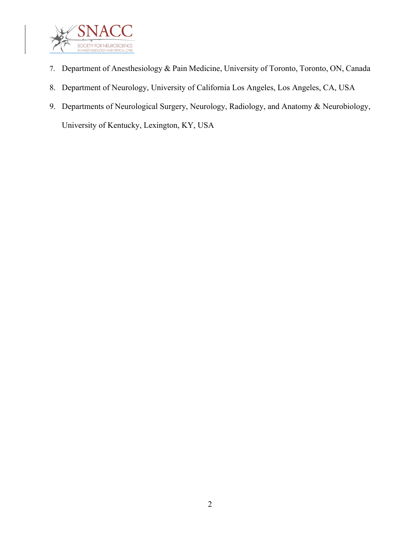

- 7. Department of Anesthesiology & Pain Medicine, University of Toronto, Toronto, ON, Canada
- 8. Department of Neurology, University of California Los Angeles, Los Angeles, CA, USA
- 9. Departments of Neurological Surgery, Neurology, Radiology, and Anatomy & Neurobiology, University of Kentucky, Lexington, KY, USA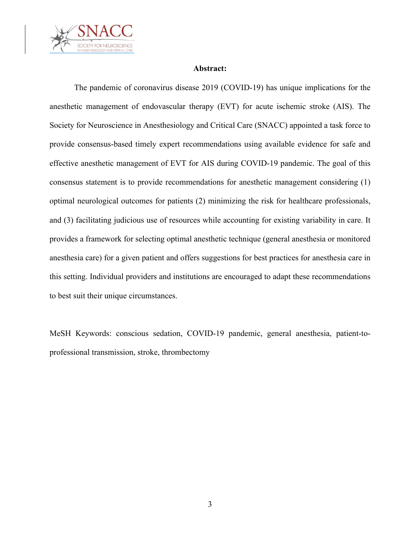

#### **Abstract:**

The pandemic of coronavirus disease 2019 (COVID-19) has unique implications for the anesthetic management of endovascular therapy (EVT) for acute ischemic stroke (AIS). The Society for Neuroscience in Anesthesiology and Critical Care (SNACC) appointed a task force to provide consensus-based timely expert recommendations using available evidence for safe and effective anesthetic management of EVT for AIS during COVID-19 pandemic. The goal of this consensus statement is to provide recommendations for anesthetic management considering (1) optimal neurological outcomes for patients (2) minimizing the risk for healthcare professionals, and (3) facilitating judicious use of resources while accounting for existing variability in care. It provides a framework for selecting optimal anesthetic technique (general anesthesia or monitored anesthesia care) for a given patient and offers suggestions for best practices for anesthesia care in this setting. Individual providers and institutions are encouraged to adapt these recommendations to best suit their unique circumstances.

MeSH Keywords: conscious sedation, COVID-19 pandemic, general anesthesia, patient-toprofessional transmission, stroke, thrombectomy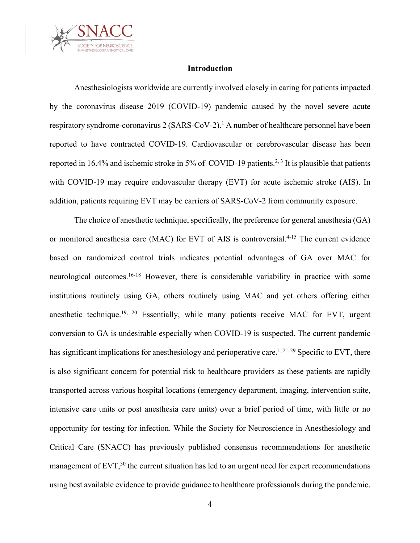

## **Introduction**

Anesthesiologists worldwide are currently involved closely in caring for patients impacted by the coronavirus disease 2019 (COVID-19) pandemic caused by the novel severe acute respiratory syndrome-coronavirus  $2 (SARS-CoV-2)$ .<sup>1</sup> A number of healthcare personnel have been reported to have contracted COVID-19. Cardiovascular or cerebrovascular disease has been reported in 16.4% and ischemic stroke in 5% of COVID-19 patients.<sup>2, 3</sup> It is plausible that patients with COVID-19 may require endovascular therapy (EVT) for acute ischemic stroke (AIS). In addition, patients requiring EVT may be carriers of SARS-CoV-2 from community exposure.

The choice of anesthetic technique, specifically, the preference for general anesthesia (GA) or monitored anesthesia care (MAC) for EVT of AIS is controversial.<sup>4-15</sup> The current evidence based on randomized control trials indicates potential advantages of GA over MAC for neurological outcomes.<sup>16-18</sup> However, there is considerable variability in practice with some institutions routinely using GA, others routinely using MAC and yet others offering either anesthetic technique.<sup>19, 20</sup> Essentially, while many patients receive MAC for EVT, urgent conversion to GA is undesirable especially when COVID-19 is suspected. The current pandemic has significant implications for anesthesiology and perioperative care.<sup>1, 21-29</sup> Specific to EVT, there is also significant concern for potential risk to healthcare providers as these patients are rapidly transported across various hospital locations (emergency department, imaging, intervention suite, intensive care units or post anesthesia care units) over a brief period of time, with little or no opportunity for testing for infection. While the Society for Neuroscience in Anesthesiology and Critical Care (SNACC) has previously published consensus recommendations for anesthetic management of  $EVT$ ,<sup>30</sup> the current situation has led to an urgent need for expert recommendations using best available evidence to provide guidance to healthcare professionals during the pandemic.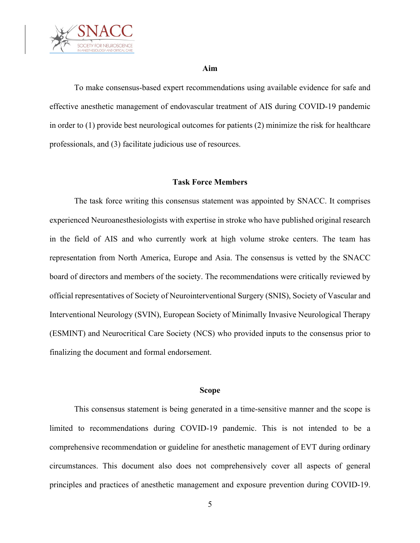

#### **Aim**

To make consensus-based expert recommendations using available evidence for safe and effective anesthetic management of endovascular treatment of AIS during COVID-19 pandemic in order to (1) provide best neurological outcomes for patients (2) minimize the risk for healthcare professionals, and (3) facilitate judicious use of resources.

#### **Task Force Members**

The task force writing this consensus statement was appointed by SNACC. It comprises experienced Neuroanesthesiologists with expertise in stroke who have published original research in the field of AIS and who currently work at high volume stroke centers. The team has representation from North America, Europe and Asia. The consensus is vetted by the SNACC board of directors and members of the society. The recommendations were critically reviewed by official representatives of Society of Neurointerventional Surgery (SNIS), Society of Vascular and Interventional Neurology (SVIN), European Society of Minimally Invasive Neurological Therapy (ESMINT) and Neurocritical Care Society (NCS) who provided inputs to the consensus prior to finalizing the document and formal endorsement.

#### **Scope**

This consensus statement is being generated in a time-sensitive manner and the scope is limited to recommendations during COVID-19 pandemic. This is not intended to be a comprehensive recommendation or guideline for anesthetic management of EVT during ordinary circumstances. This document also does not comprehensively cover all aspects of general principles and practices of anesthetic management and exposure prevention during COVID-19.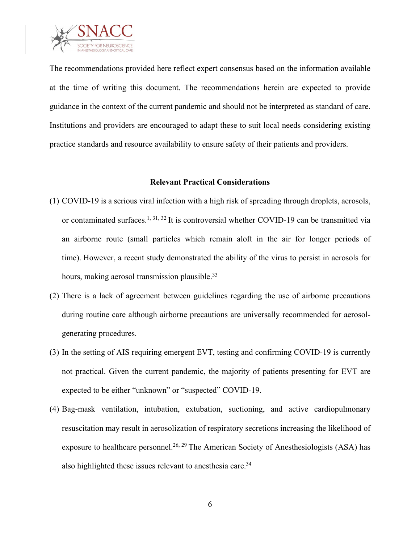

The recommendations provided here reflect expert consensus based on the information available at the time of writing this document. The recommendations herein are expected to provide guidance in the context of the current pandemic and should not be interpreted as standard of care. Institutions and providers are encouraged to adapt these to suit local needs considering existing practice standards and resource availability to ensure safety of their patients and providers.

#### **Relevant Practical Considerations**

- (1) COVID-19 is a serious viral infection with a high risk of spreading through droplets, aerosols, or contaminated surfaces.<sup>1, 31, 32</sup> It is controversial whether COVID-19 can be transmitted via an airborne route (small particles which remain aloft in the air for longer periods of time). However, a recent study demonstrated the ability of the virus to persist in aerosols for hours, making aerosol transmission plausible.<sup>33</sup>
- (2) There is a lack of agreement between guidelines regarding the use of airborne precautions during routine care although airborne precautions are universally recommended for aerosolgenerating procedures.
- (3) In the setting of AIS requiring emergent EVT, testing and confirming COVID-19 is currently not practical. Given the current pandemic, the majority of patients presenting for EVT are expected to be either "unknown" or "suspected" COVID-19.
- (4) Bag-mask ventilation, intubation, extubation, suctioning, and active cardiopulmonary resuscitation may result in aerosolization of respiratory secretions increasing the likelihood of exposure to healthcare personnel.<sup>26, 29</sup> The American Society of Anesthesiologists (ASA) has also highlighted these issues relevant to anesthesia care.<sup>34</sup>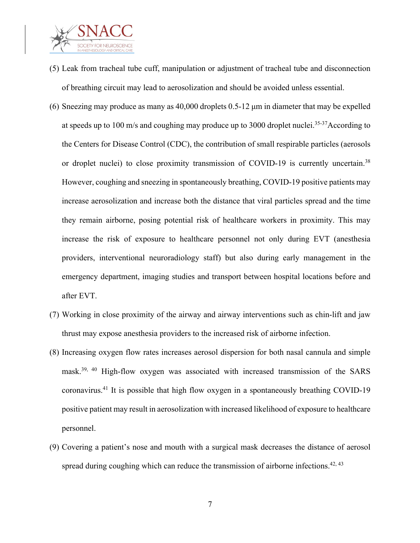

- (5) Leak from tracheal tube cuff, manipulation or adjustment of tracheal tube and disconnection of breathing circuit may lead to aerosolization and should be avoided unless essential.
- (6) Sneezing may produce as many as 40,000 droplets 0.5-12 μm in diameter that may be expelled at speeds up to 100 m/s and coughing may produce up to 3000 droplet nuclei.<sup>35-37</sup>According to the Centers for Disease Control (CDC), the contribution of small respirable particles (aerosols or droplet nuclei) to close proximity transmission of COVID-19 is currently uncertain.<sup>38</sup> However, coughing and sneezing in spontaneously breathing, COVID-19 positive patients may increase aerosolization and increase both the distance that viral particles spread and the time they remain airborne, posing potential risk of healthcare workers in proximity. This may increase the risk of exposure to healthcare personnel not only during EVT (anesthesia providers, interventional neuroradiology staff) but also during early management in the emergency department, imaging studies and transport between hospital locations before and after EVT.
- (7) Working in close proximity of the airway and airway interventions such as chin-lift and jaw thrust may expose anesthesia providers to the increased risk of airborne infection.
- (8) Increasing oxygen flow rates increases aerosol dispersion for both nasal cannula and simple mask. 39, 40 High-flow oxygen was associated with increased transmission of the SARS coronavirus.41 It is possible that high flow oxygen in a spontaneously breathing COVID-19 positive patient may result in aerosolization with increased likelihood of exposure to healthcare personnel.
- (9) Covering a patient's nose and mouth with a surgical mask decreases the distance of aerosol spread during coughing which can reduce the transmission of airborne infections.<sup>42, 43</sup>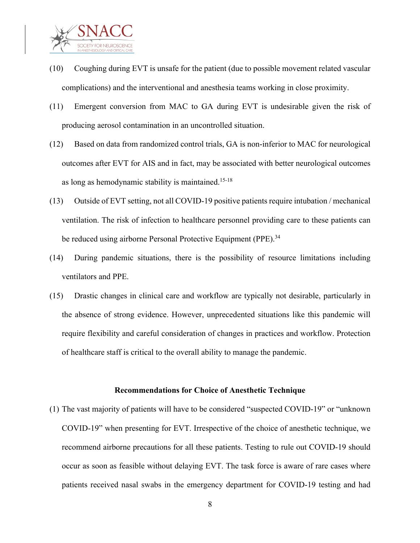

- (10) Coughing during EVT is unsafe for the patient (due to possible movement related vascular complications) and the interventional and anesthesia teams working in close proximity.
- (11) Emergent conversion from MAC to GA during EVT is undesirable given the risk of producing aerosol contamination in an uncontrolled situation.
- (12) Based on data from randomized control trials, GA is non-inferior to MAC for neurological outcomes after EVT for AIS and in fact, may be associated with better neurological outcomes as long as hemodynamic stability is maintained. 15-18
- (13) Outside of EVT setting, not all COVID-19 positive patients require intubation / mechanical ventilation. The risk of infection to healthcare personnel providing care to these patients can be reduced using airborne Personal Protective Equipment (PPE).<sup>34</sup>
- (14) During pandemic situations, there is the possibility of resource limitations including ventilators and PPE.
- (15) Drastic changes in clinical care and workflow are typically not desirable, particularly in the absence of strong evidence. However, unprecedented situations like this pandemic will require flexibility and careful consideration of changes in practices and workflow. Protection of healthcare staff is critical to the overall ability to manage the pandemic.

#### **Recommendations for Choice of Anesthetic Technique**

(1) The vast majority of patients will have to be considered "suspected COVID-19" or "unknown COVID-19" when presenting for EVT. Irrespective of the choice of anesthetic technique, we recommend airborne precautions for all these patients. Testing to rule out COVID-19 should occur as soon as feasible without delaying EVT. The task force is aware of rare cases where patients received nasal swabs in the emergency department for COVID-19 testing and had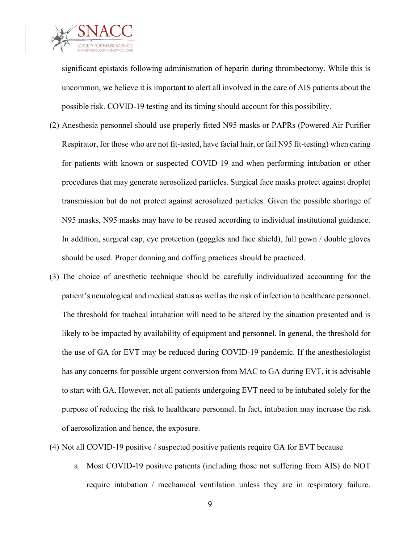

significant epistaxis following administration of heparin during thrombectomy. While this is uncommon, we believe it is important to alert all involved in the care of AIS patients about the possible risk. COVID-19 testing and its timing should account for this possibility.

- (2) Anesthesia personnel should use properly fitted N95 masks or PAPRs (Powered Air Purifier Respirator, for those who are not fit-tested, have facial hair, or fail N95 fit-testing) when caring for patients with known or suspected COVID-19 and when performing intubation or other procedures that may generate aerosolized particles. Surgical face masks protect against droplet transmission but do not protect against aerosolized particles. Given the possible shortage of N95 masks, N95 masks may have to be reused according to individual institutional guidance. In addition, surgical cap, eye protection (goggles and face shield), full gown / double gloves should be used. Proper donning and doffing practices should be practiced.
- (3) The choice of anesthetic technique should be carefully individualized accounting for the patient's neurological and medical status as well as the risk of infection to healthcare personnel. The threshold for tracheal intubation will need to be altered by the situation presented and is likely to be impacted by availability of equipment and personnel. In general, the threshold for the use of GA for EVT may be reduced during COVID-19 pandemic. If the anesthesiologist has any concerns for possible urgent conversion from MAC to GA during EVT, it is advisable to start with GA. However, not all patients undergoing EVT need to be intubated solely for the purpose of reducing the risk to healthcare personnel. In fact, intubation may increase the risk of aerosolization and hence, the exposure.
- (4) Not all COVID-19 positive / suspected positive patients require GA for EVT because
	- a. Most COVID-19 positive patients (including those not suffering from AIS) do NOT require intubation / mechanical ventilation unless they are in respiratory failure.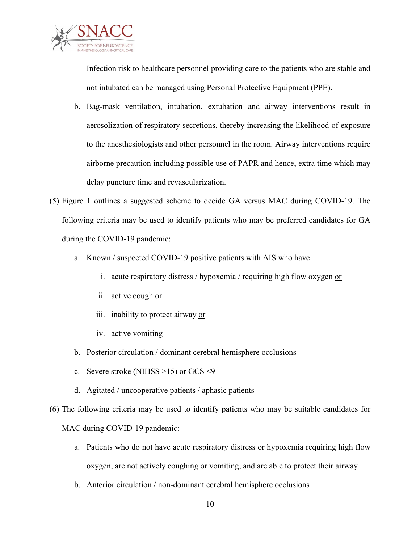

Infection risk to healthcare personnel providing care to the patients who are stable and not intubated can be managed using Personal Protective Equipment (PPE).

- b. Bag-mask ventilation, intubation, extubation and airway interventions result in aerosolization of respiratory secretions, thereby increasing the likelihood of exposure to the anesthesiologists and other personnel in the room. Airway interventions require airborne precaution including possible use of PAPR and hence, extra time which may delay puncture time and revascularization.
- (5) Figure 1 outlines a suggested scheme to decide GA versus MAC during COVID-19. The following criteria may be used to identify patients who may be preferred candidates for GA during the COVID-19 pandemic:
	- a. Known / suspected COVID-19 positive patients with AIS who have:
		- i. acute respiratory distress / hypoxemia / requiring high flow oxygen or
		- ii. active cough or
		- iii. inability to protect airway or
		- iv. active vomiting
	- b. Posterior circulation / dominant cerebral hemisphere occlusions
	- c. Severe stroke (NIHSS >15) or GCS <9
	- d. Agitated / uncooperative patients / aphasic patients
- (6) The following criteria may be used to identify patients who may be suitable candidates for MAC during COVID-19 pandemic:
	- a. Patients who do not have acute respiratory distress or hypoxemia requiring high flow oxygen, are not actively coughing or vomiting, and are able to protect their airway
	- b. Anterior circulation / non-dominant cerebral hemisphere occlusions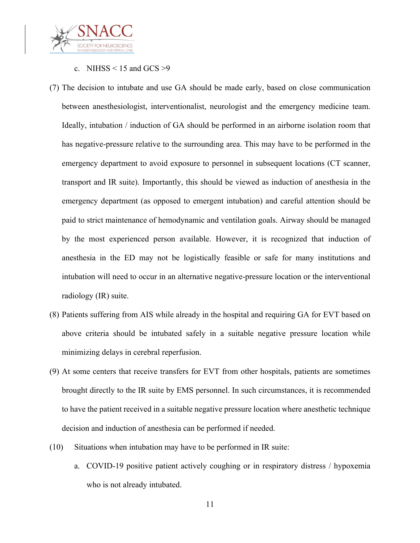

## c. NIHSS  $\leq$  15 and GCS  $>9$

- (7) The decision to intubate and use GA should be made early, based on close communication between anesthesiologist, interventionalist, neurologist and the emergency medicine team. Ideally, intubation / induction of GA should be performed in an airborne isolation room that has negative-pressure relative to the surrounding area. This may have to be performed in the emergency department to avoid exposure to personnel in subsequent locations (CT scanner, transport and IR suite). Importantly, this should be viewed as induction of anesthesia in the emergency department (as opposed to emergent intubation) and careful attention should be paid to strict maintenance of hemodynamic and ventilation goals. Airway should be managed by the most experienced person available. However, it is recognized that induction of anesthesia in the ED may not be logistically feasible or safe for many institutions and intubation will need to occur in an alternative negative-pressure location or the interventional radiology (IR) suite.
- (8) Patients suffering from AIS while already in the hospital and requiring GA for EVT based on above criteria should be intubated safely in a suitable negative pressure location while minimizing delays in cerebral reperfusion.
- (9) At some centers that receive transfers for EVT from other hospitals, patients are sometimes brought directly to the IR suite by EMS personnel. In such circumstances, it is recommended to have the patient received in a suitable negative pressure location where anesthetic technique decision and induction of anesthesia can be performed if needed.
- (10) Situations when intubation may have to be performed in IR suite:
	- a. COVID-19 positive patient actively coughing or in respiratory distress / hypoxemia who is not already intubated.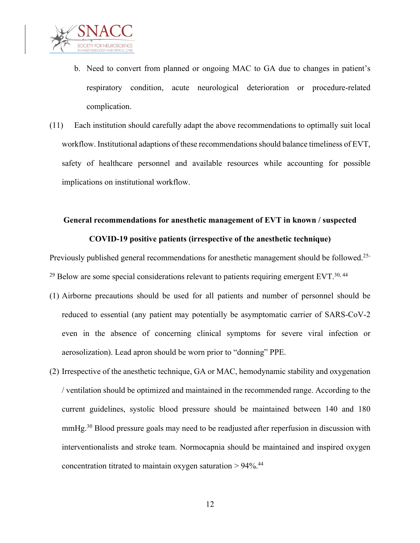

- b. Need to convert from planned or ongoing MAC to GA due to changes in patient's respiratory condition, acute neurological deterioration or procedure-related complication.
- (11) Each institution should carefully adapt the above recommendations to optimally suit local workflow. Institutional adaptions of these recommendations should balance timeliness of EVT, safety of healthcare personnel and available resources while accounting for possible implications on institutional workflow.

## **General recommendations for anesthetic management of EVT in known / suspected COVID-19 positive patients (irrespective of the anesthetic technique)**

Previously published general recommendations for anesthetic management should be followed.<sup>25-</sup>  $29$  Below are some special considerations relevant to patients requiring emergent EVT.<sup>30, 44</sup>

- (1) Airborne precautions should be used for all patients and number of personnel should be reduced to essential (any patient may potentially be asymptomatic carrier of SARS-CoV-2 even in the absence of concerning clinical symptoms for severe viral infection or aerosolization). Lead apron should be worn prior to "donning" PPE.
- (2) Irrespective of the anesthetic technique, GA or MAC, hemodynamic stability and oxygenation / ventilation should be optimized and maintained in the recommended range. According to the current guidelines, systolic blood pressure should be maintained between 140 and 180 mmHg.<sup>30</sup> Blood pressure goals may need to be readjusted after reperfusion in discussion with interventionalists and stroke team. Normocapnia should be maintained and inspired oxygen concentration titrated to maintain oxygen saturation  $> 94\%$ .<sup>44</sup>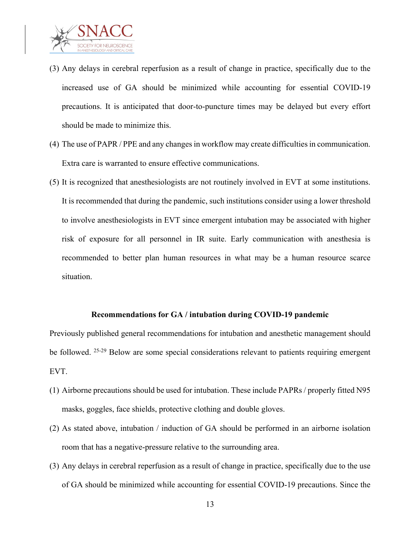

- (3) Any delays in cerebral reperfusion as a result of change in practice, specifically due to the increased use of GA should be minimized while accounting for essential COVID-19 precautions. It is anticipated that door-to-puncture times may be delayed but every effort should be made to minimize this.
- (4) The use of PAPR / PPE and any changes in workflow may create difficulties in communication. Extra care is warranted to ensure effective communications.
- (5) It is recognized that anesthesiologists are not routinely involved in EVT at some institutions. It is recommended that during the pandemic, such institutions consider using a lower threshold to involve anesthesiologists in EVT since emergent intubation may be associated with higher risk of exposure for all personnel in IR suite. Early communication with anesthesia is recommended to better plan human resources in what may be a human resource scarce situation.

#### **Recommendations for GA / intubation during COVID-19 pandemic**

Previously published general recommendations for intubation and anesthetic management should be followed. <sup>25-29</sup> Below are some special considerations relevant to patients requiring emergent EVT.

- (1) Airborne precautions should be used for intubation. These include PAPRs / properly fitted N95 masks, goggles, face shields, protective clothing and double gloves.
- (2) As stated above, intubation / induction of GA should be performed in an airborne isolation room that has a negative-pressure relative to the surrounding area.
- (3) Any delays in cerebral reperfusion as a result of change in practice, specifically due to the use of GA should be minimized while accounting for essential COVID-19 precautions. Since the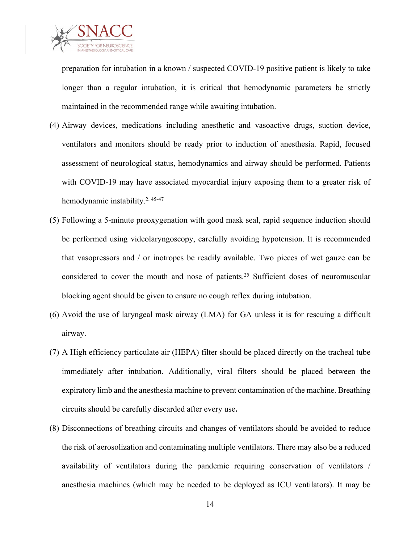

preparation for intubation in a known / suspected COVID-19 positive patient is likely to take longer than a regular intubation, it is critical that hemodynamic parameters be strictly maintained in the recommended range while awaiting intubation.

- (4) Airway devices, medications including anesthetic and vasoactive drugs, suction device, ventilators and monitors should be ready prior to induction of anesthesia. Rapid, focused assessment of neurological status, hemodynamics and airway should be performed. Patients with COVID-19 may have associated myocardial injury exposing them to a greater risk of hemodynamic instability.<sup>2, 45-47</sup>
- (5) Following a 5-minute preoxygenation with good mask seal, rapid sequence induction should be performed using videolaryngoscopy, carefully avoiding hypotension. It is recommended that vasopressors and / or inotropes be readily available. Two pieces of wet gauze can be considered to cover the mouth and nose of patients. <sup>25</sup> Sufficient doses of neuromuscular blocking agent should be given to ensure no cough reflex during intubation.
- (6) Avoid the use of laryngeal mask airway (LMA) for GA unless it is for rescuing a difficult airway.
- (7) A High efficiency particulate air (HEPA) filter should be placed directly on the tracheal tube immediately after intubation. Additionally, viral filters should be placed between the expiratory limb and the anesthesia machine to prevent contamination of the machine. Breathing circuits should be carefully discarded after every use**.**
- (8) Disconnections of breathing circuits and changes of ventilators should be avoided to reduce the risk of aerosolization and contaminating multiple ventilators. There may also be a reduced availability of ventilators during the pandemic requiring conservation of ventilators / anesthesia machines (which may be needed to be deployed as ICU ventilators). It may be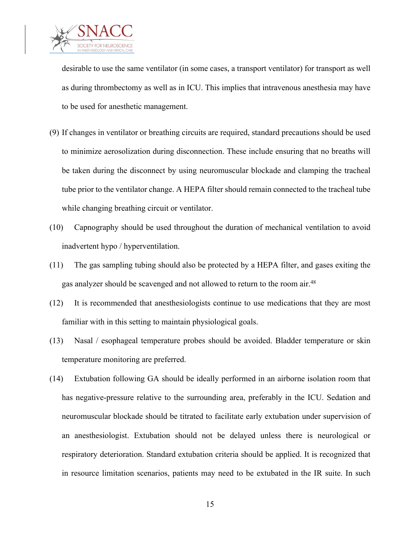

desirable to use the same ventilator (in some cases, a transport ventilator) for transport as well as during thrombectomy as well as in ICU. This implies that intravenous anesthesia may have to be used for anesthetic management.

- (9) If changes in ventilator or breathing circuits are required, standard precautions should be used to minimize aerosolization during disconnection. These include ensuring that no breaths will be taken during the disconnect by using neuromuscular blockade and clamping the tracheal tube prior to the ventilator change. A HEPA filter should remain connected to the tracheal tube while changing breathing circuit or ventilator.
- (10) Capnography should be used throughout the duration of mechanical ventilation to avoid inadvertent hypo / hyperventilation.
- (11) The gas sampling tubing should also be protected by a HEPA filter, and gases exiting the gas analyzer should be scavenged and not allowed to return to the room air.<sup>48</sup>
- (12) It is recommended that anesthesiologists continue to use medications that they are most familiar with in this setting to maintain physiological goals.
- (13) Nasal / esophageal temperature probes should be avoided. Bladder temperature or skin temperature monitoring are preferred.
- (14) Extubation following GA should be ideally performed in an airborne isolation room that has negative-pressure relative to the surrounding area, preferably in the ICU. Sedation and neuromuscular blockade should be titrated to facilitate early extubation under supervision of an anesthesiologist. Extubation should not be delayed unless there is neurological or respiratory deterioration. Standard extubation criteria should be applied. It is recognized that in resource limitation scenarios, patients may need to be extubated in the IR suite. In such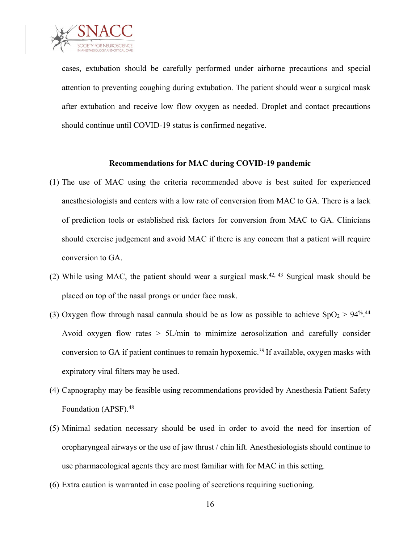

cases, extubation should be carefully performed under airborne precautions and special attention to preventing coughing during extubation. The patient should wear a surgical mask after extubation and receive low flow oxygen as needed. Droplet and contact precautions should continue until COVID-19 status is confirmed negative.

#### **Recommendations for MAC during COVID-19 pandemic**

- (1) The use of MAC using the criteria recommended above is best suited for experienced anesthesiologists and centers with a low rate of conversion from MAC to GA. There is a lack of prediction tools or established risk factors for conversion from MAC to GA. Clinicians should exercise judgement and avoid MAC if there is any concern that a patient will require conversion to GA.
- (2) While using MAC, the patient should wear a surgical mask.<sup>42, 43</sup> Surgical mask should be placed on top of the nasal prongs or under face mask.
- (3) Oxygen flow through nasal cannula should be as low as possible to achieve  $SpO_2 > 94\%$ .<sup>44</sup> Avoid oxygen flow rates > 5L/min to minimize aerosolization and carefully consider conversion to GA if patient continues to remain hypoxemic.<sup>39</sup> If available, oxygen masks with expiratory viral filters may be used.
- (4) Capnography may be feasible using recommendations provided by Anesthesia Patient Safety Foundation (APSF).<sup>48</sup>
- (5) Minimal sedation necessary should be used in order to avoid the need for insertion of oropharyngeal airways or the use of jaw thrust / chin lift. Anesthesiologists should continue to use pharmacological agents they are most familiar with for MAC in this setting.
- (6) Extra caution is warranted in case pooling of secretions requiring suctioning.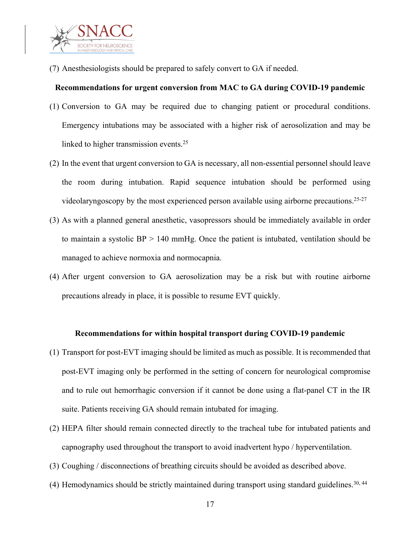

(7) Anesthesiologists should be prepared to safely convert to GA if needed.

## **Recommendations for urgent conversion from MAC to GA during COVID-19 pandemic**

- (1) Conversion to GA may be required due to changing patient or procedural conditions. Emergency intubations may be associated with a higher risk of aerosolization and may be linked to higher transmission events.<sup>25</sup>
- (2) In the event that urgent conversion to GA is necessary, all non-essential personnel should leave the room during intubation. Rapid sequence intubation should be performed using videolaryngoscopy by the most experienced person available using airborne precautions.<sup>25-27</sup>
- (3) As with a planned general anesthetic, vasopressors should be immediately available in order to maintain a systolic  $BP > 140$  mmHg. Once the patient is intubated, ventilation should be managed to achieve normoxia and normocapnia.
- (4) After urgent conversion to GA aerosolization may be a risk but with routine airborne precautions already in place, it is possible to resume EVT quickly.

## **Recommendations for within hospital transport during COVID-19 pandemic**

- (1) Transport for post-EVT imaging should be limited as much as possible. It is recommended that post-EVT imaging only be performed in the setting of concern for neurological compromise and to rule out hemorrhagic conversion if it cannot be done using a flat-panel CT in the IR suite. Patients receiving GA should remain intubated for imaging.
- (2) HEPA filter should remain connected directly to the tracheal tube for intubated patients and capnography used throughout the transport to avoid inadvertent hypo / hyperventilation.
- (3) Coughing / disconnections of breathing circuits should be avoided as described above.
- (4) Hemodynamics should be strictly maintained during transport using standard guidelines.<sup>30, 44</sup>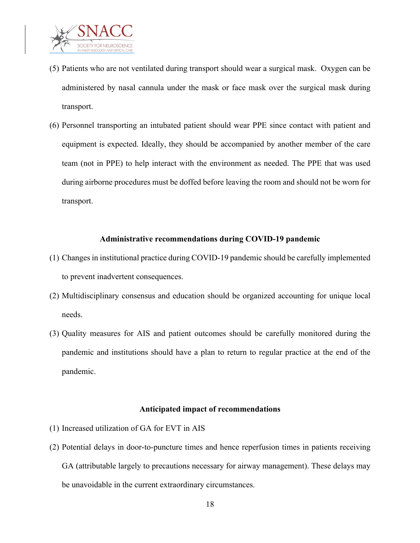

- (5) Patients who are not ventilated during transport should wear a surgical mask. Oxygen can be administered by nasal cannula under the mask or face mask over the surgical mask during transport.
- (6) Personnel transporting an intubated patient should wear PPE since contact with patient and equipment is expected. Ideally, they should be accompanied by another member of the care team (not in PPE) to help interact with the environment as needed. The PPE that was used during airborne procedures must be doffed before leaving the room and should not be worn for transport.

#### **Administrative recommendations during COVID-19 pandemic**

- (1) Changes in institutional practice during COVID-19 pandemic should be carefully implemented to prevent inadvertent consequences.
- (2) Multidisciplinary consensus and education should be organized accounting for unique local needs.
- (3) Quality measures for AIS and patient outcomes should be carefully monitored during the pandemic and institutions should have a plan to return to regular practice at the end of the pandemic.

#### **Anticipated impact of recommendations**

- (1) Increased utilization of GA for EVT in AIS
- (2) Potential delays in door-to-puncture times and hence reperfusion times in patients receiving GA (attributable largely to precautions necessary for airway management). These delays may be unavoidable in the current extraordinary circumstances.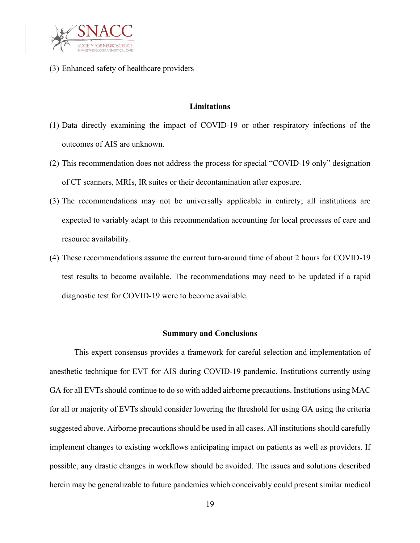

(3) Enhanced safety of healthcare providers

## **Limitations**

- (1) Data directly examining the impact of COVID-19 or other respiratory infections of the outcomes of AIS are unknown.
- (2) This recommendation does not address the process for special "COVID-19 only" designation of CT scanners, MRIs, IR suites or their decontamination after exposure.
- (3) The recommendations may not be universally applicable in entirety; all institutions are expected to variably adapt to this recommendation accounting for local processes of care and resource availability.
- (4) These recommendations assume the current turn-around time of about 2 hours for COVID-19 test results to become available. The recommendations may need to be updated if a rapid diagnostic test for COVID-19 were to become available.

#### **Summary and Conclusions**

This expert consensus provides a framework for careful selection and implementation of anesthetic technique for EVT for AIS during COVID-19 pandemic. Institutions currently using GA for all EVTs should continue to do so with added airborne precautions. Institutions using MAC for all or majority of EVTs should consider lowering the threshold for using GA using the criteria suggested above. Airborne precautions should be used in all cases. All institutions should carefully implement changes to existing workflows anticipating impact on patients as well as providers. If possible, any drastic changes in workflow should be avoided. The issues and solutions described herein may be generalizable to future pandemics which conceivably could present similar medical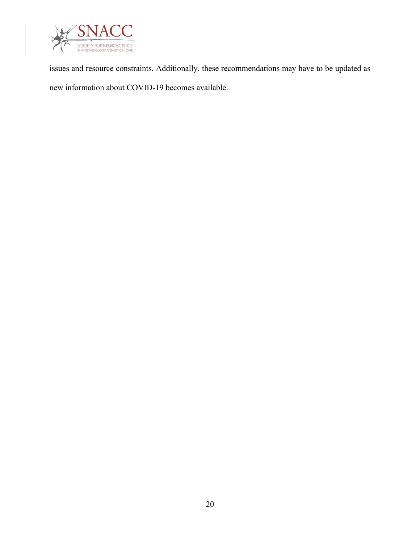

issues and resource constraints. Additionally, these recommendations may have to be updated as new information about COVID-19 becomes available.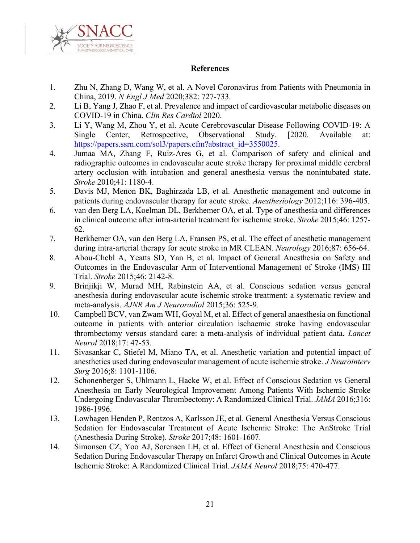

## **References**

- 1. Zhu N, Zhang D, Wang W, et al. A Novel Coronavirus from Patients with Pneumonia in China, 2019. *N Engl J Med* 2020;382: 727-733.
- 2. Li B, Yang J, Zhao F, et al. Prevalence and impact of cardiovascular metabolic diseases on COVID-19 in China. *Clin Res Cardiol* 2020.
- 3. Li Y, Wang M, Zhou Y, et al. Acute Cerebrovascular Disease Following COVID-19: A Single Center, Retrospective, Observational Study. [2020. Available at: https://papers.ssrn.com/sol3/papers.cfm?abstract\_id=3550025.
- 4. Jumaa MA, Zhang F, Ruiz-Ares G, et al. Comparison of safety and clinical and radiographic outcomes in endovascular acute stroke therapy for proximal middle cerebral artery occlusion with intubation and general anesthesia versus the nonintubated state. *Stroke* 2010;41: 1180-4.
- 5. Davis MJ, Menon BK, Baghirzada LB, et al. Anesthetic management and outcome in patients during endovascular therapy for acute stroke. *Anesthesiology* 2012;116: 396-405.
- 6. van den Berg LA, Koelman DL, Berkhemer OA, et al. Type of anesthesia and differences in clinical outcome after intra-arterial treatment for ischemic stroke. *Stroke* 2015;46: 1257- 62.
- 7. Berkhemer OA, van den Berg LA, Fransen PS, et al. The effect of anesthetic management during intra-arterial therapy for acute stroke in MR CLEAN. *Neurology* 2016;87: 656-64.
- 8. Abou-Chebl A, Yeatts SD, Yan B, et al. Impact of General Anesthesia on Safety and Outcomes in the Endovascular Arm of Interventional Management of Stroke (IMS) III Trial. *Stroke* 2015;46: 2142-8.
- 9. Brinjikji W, Murad MH, Rabinstein AA, et al. Conscious sedation versus general anesthesia during endovascular acute ischemic stroke treatment: a systematic review and meta-analysis. *AJNR Am J Neuroradiol* 2015;36: 525-9.
- 10. Campbell BCV, van Zwam WH, Goyal M, et al. Effect of general anaesthesia on functional outcome in patients with anterior circulation ischaemic stroke having endovascular thrombectomy versus standard care: a meta-analysis of individual patient data. *Lancet Neurol* 2018;17: 47-53.
- 11. Sivasankar C, Stiefel M, Miano TA, et al. Anesthetic variation and potential impact of anesthetics used during endovascular management of acute ischemic stroke. *J Neurointerv Surg* 2016;8: 1101-1106.
- 12. Schonenberger S, Uhlmann L, Hacke W, et al. Effect of Conscious Sedation vs General Anesthesia on Early Neurological Improvement Among Patients With Ischemic Stroke Undergoing Endovascular Thrombectomy: A Randomized Clinical Trial. *JAMA* 2016;316: 1986-1996.
- 13. Lowhagen Henden P, Rentzos A, Karlsson JE, et al. General Anesthesia Versus Conscious Sedation for Endovascular Treatment of Acute Ischemic Stroke: The AnStroke Trial (Anesthesia During Stroke). *Stroke* 2017;48: 1601-1607.
- 14. Simonsen CZ, Yoo AJ, Sorensen LH, et al. Effect of General Anesthesia and Conscious Sedation During Endovascular Therapy on Infarct Growth and Clinical Outcomes in Acute Ischemic Stroke: A Randomized Clinical Trial. *JAMA Neurol* 2018;75: 470-477.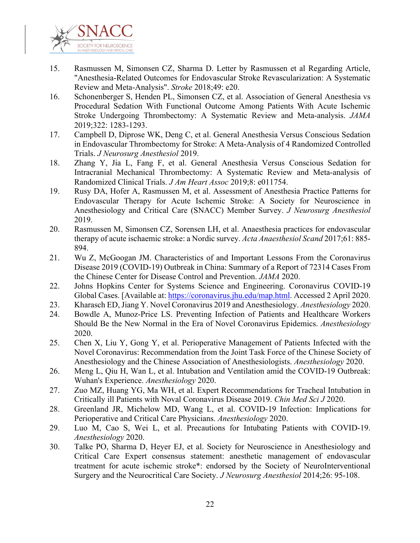

- 15. Rasmussen M, Simonsen CZ, Sharma D. Letter by Rasmussen et al Regarding Article, "Anesthesia-Related Outcomes for Endovascular Stroke Revascularization: A Systematic Review and Meta-Analysis". *Stroke* 2018;49: e20.
- 16. Schonenberger S, Henden PL, Simonsen CZ, et al. Association of General Anesthesia vs Procedural Sedation With Functional Outcome Among Patients With Acute Ischemic Stroke Undergoing Thrombectomy: A Systematic Review and Meta-analysis. *JAMA* 2019;322: 1283-1293.
- 17. Campbell D, Diprose WK, Deng C, et al. General Anesthesia Versus Conscious Sedation in Endovascular Thrombectomy for Stroke: A Meta-Analysis of 4 Randomized Controlled Trials. *J Neurosurg Anesthesiol* 2019.
- 18. Zhang Y, Jia L, Fang F, et al. General Anesthesia Versus Conscious Sedation for Intracranial Mechanical Thrombectomy: A Systematic Review and Meta-analysis of Randomized Clinical Trials. *J Am Heart Assoc* 2019;8: e011754.
- 19. Rusy DA, Hofer A, Rasmussen M, et al. Assessment of Anesthesia Practice Patterns for Endovascular Therapy for Acute Ischemic Stroke: A Society for Neuroscience in Anesthesiology and Critical Care (SNACC) Member Survey. *J Neurosurg Anesthesiol* 2019.
- 20. Rasmussen M, Simonsen CZ, Sorensen LH, et al. Anaesthesia practices for endovascular therapy of acute ischaemic stroke: a Nordic survey. *Acta Anaesthesiol Scand* 2017;61: 885- 894.
- 21. Wu Z, McGoogan JM. Characteristics of and Important Lessons From the Coronavirus Disease 2019 (COVID-19) Outbreak in China: Summary of a Report of 72314 Cases From the Chinese Center for Disease Control and Prevention. *JAMA* 2020.
- 22. Johns Hopkins Center for Systems Science and Engineering. Coronavirus COVID-19 Global Cases. [Available at: https://coronavirus.jhu.edu/map.html. Accessed 2 April 2020.
- 23. Kharasch ED, Jiang Y. Novel Coronavirus 2019 and Anesthesiology. *Anesthesiology* 2020.
- 24. Bowdle A, Munoz-Price LS. Preventing Infection of Patients and Healthcare Workers Should Be the New Normal in the Era of Novel Coronavirus Epidemics. *Anesthesiology* 2020.
- 25. Chen X, Liu Y, Gong Y, et al. Perioperative Management of Patients Infected with the Novel Coronavirus: Recommendation from the Joint Task Force of the Chinese Society of Anesthesiology and the Chinese Association of Anesthesiologists. *Anesthesiology* 2020.
- 26. Meng L, Qiu H, Wan L, et al. Intubation and Ventilation amid the COVID-19 Outbreak: Wuhan's Experience. *Anesthesiology* 2020.
- 27. Zuo MZ, Huang YG, Ma WH, et al. Expert Recommendations for Tracheal Intubation in Critically ill Patients with Noval Coronavirus Disease 2019. *Chin Med Sci J* 2020.
- 28. Greenland JR, Michelow MD, Wang L, et al. COVID-19 Infection: Implications for Perioperative and Critical Care Physicians. *Anesthesiology* 2020.
- 29. Luo M, Cao S, Wei L, et al. Precautions for Intubating Patients with COVID-19. *Anesthesiology* 2020.
- 30. Talke PO, Sharma D, Heyer EJ, et al. Society for Neuroscience in Anesthesiology and Critical Care Expert consensus statement: anesthetic management of endovascular treatment for acute ischemic stroke\*: endorsed by the Society of NeuroInterventional Surgery and the Neurocritical Care Society. *J Neurosurg Anesthesiol* 2014;26: 95-108.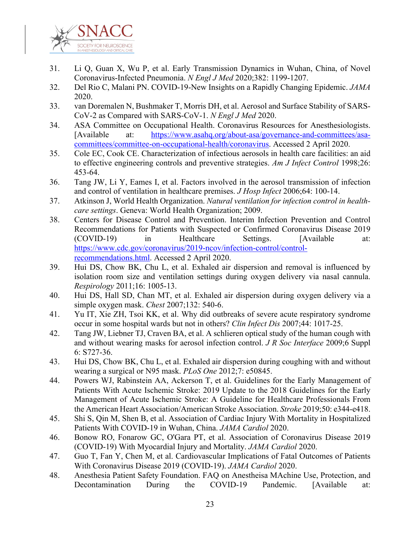

- 31. Li Q, Guan X, Wu P, et al. Early Transmission Dynamics in Wuhan, China, of Novel Coronavirus-Infected Pneumonia. *N Engl J Med* 2020;382: 1199-1207.
- 32. Del Rio C, Malani PN. COVID-19-New Insights on a Rapidly Changing Epidemic. *JAMA* 2020.
- 33. van Doremalen N, Bushmaker T, Morris DH, et al. Aerosol and Surface Stability of SARS-CoV-2 as Compared with SARS-CoV-1. *N Engl J Med* 2020.
- 34. ASA Committee on Occupational Health. Coronavirus Resources for Anesthesiologists. [Available at: https://www.asahq.org/about-asa/governance-and-committees/asacommittees/committee-on-occupational-health/coronavirus. Accessed 2 April 2020.
- 35. Cole EC, Cook CE. Characterization of infectious aerosols in health care facilities: an aid to effective engineering controls and preventive strategies. *Am J Infect Control* 1998;26: 453-64.
- 36. Tang JW, Li Y, Eames I, et al. Factors involved in the aerosol transmission of infection and control of ventilation in healthcare premises. *J Hosp Infect* 2006;64: 100-14.
- 37. Atkinson J, World Health Organization. *Natural ventilation for infection control in healthcare settings*. Geneva: World Health Organization; 2009.
- 38. Centers for Disease Control and Prevention. Interim Infection Prevention and Control Recommendations for Patients with Suspected or Confirmed Coronavirus Disease 2019 (COVID-19) in Healthcare Settings. [Available at: https://www.cdc.gov/coronavirus/2019-ncov/infection-control/controlrecommendations.html. Accessed 2 April 2020.
- 39. Hui DS, Chow BK, Chu L, et al. Exhaled air dispersion and removal is influenced by isolation room size and ventilation settings during oxygen delivery via nasal cannula. *Respirology* 2011;16: 1005-13.
- 40. Hui DS, Hall SD, Chan MT, et al. Exhaled air dispersion during oxygen delivery via a simple oxygen mask. *Chest* 2007;132: 540-6.
- 41. Yu IT, Xie ZH, Tsoi KK, et al. Why did outbreaks of severe acute respiratory syndrome occur in some hospital wards but not in others? *Clin Infect Dis* 2007;44: 1017-25.
- 42. Tang JW, Liebner TJ, Craven BA, et al. A schlieren optical study of the human cough with and without wearing masks for aerosol infection control. *J R Soc Interface* 2009;6 Suppl 6: S727-36.
- 43. Hui DS, Chow BK, Chu L, et al. Exhaled air dispersion during coughing with and without wearing a surgical or N95 mask. *PLoS One* 2012;7: e50845.
- 44. Powers WJ, Rabinstein AA, Ackerson T, et al. Guidelines for the Early Management of Patients With Acute Ischemic Stroke: 2019 Update to the 2018 Guidelines for the Early Management of Acute Ischemic Stroke: A Guideline for Healthcare Professionals From the American Heart Association/American Stroke Association. *Stroke* 2019;50: e344-e418.
- 45. Shi S, Qin M, Shen B, et al. Association of Cardiac Injury With Mortality in Hospitalized Patients With COVID-19 in Wuhan, China. *JAMA Cardiol* 2020.
- 46. Bonow RO, Fonarow GC, O'Gara PT, et al. Association of Coronavirus Disease 2019 (COVID-19) With Myocardial Injury and Mortality. *JAMA Cardiol* 2020.
- 47. Guo T, Fan Y, Chen M, et al. Cardiovascular Implications of Fatal Outcomes of Patients With Coronavirus Disease 2019 (COVID-19). *JAMA Cardiol* 2020.
- 48. Anesthesia Patient Safety Foundation. FAQ on Anestheisa MAchine Use, Protection, and Decontamination During the COVID-19 Pandemic. [Available at: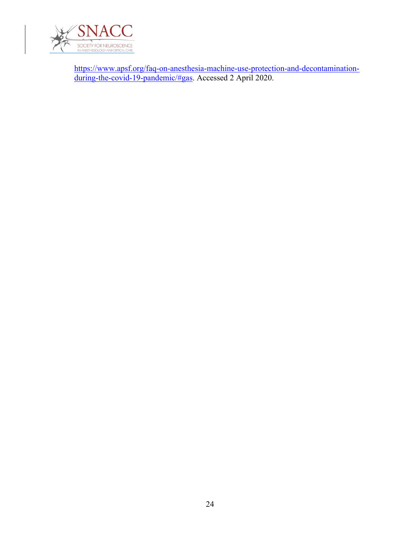

https://www.apsf.org/faq-on-anesthesia-machine-use-protection-and-decontaminationduring-the-covid-19-pandemic/#gas. Accessed 2 April 2020.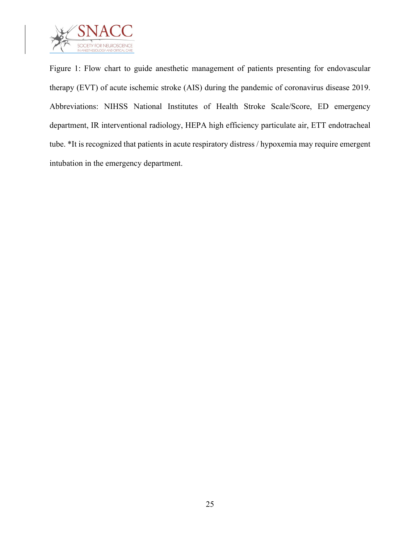

Figure 1: Flow chart to guide anesthetic management of patients presenting for endovascular therapy (EVT) of acute ischemic stroke (AIS) during the pandemic of coronavirus disease 2019. Abbreviations: NIHSS National Institutes of Health Stroke Scale/Score, ED emergency department, IR interventional radiology, HEPA high efficiency particulate air, ETT endotracheal tube. \*It is recognized that patients in acute respiratory distress / hypoxemia may require emergent intubation in the emergency department.